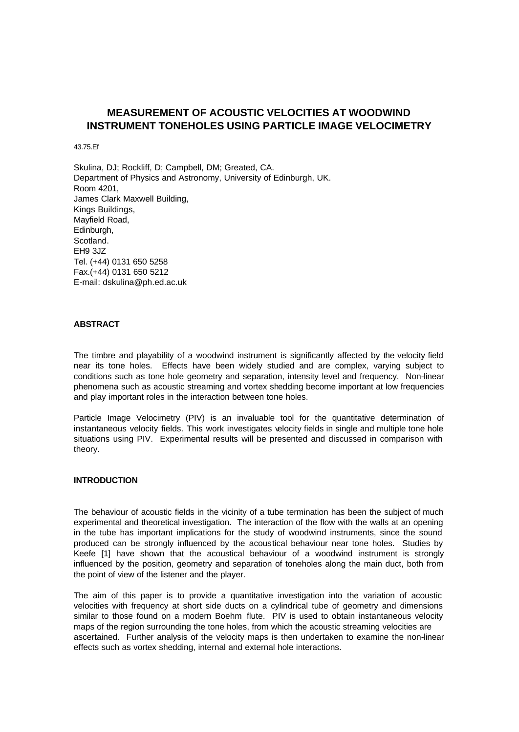# **MEASUREMENT OF ACOUSTIC VELOCITIES AT WOODWIND INSTRUMENT TONEHOLES USING PARTICLE IMAGE VELOCIMETRY**

43.75.Ef

Skulina, DJ; Rockliff, D; Campbell, DM; Greated, CA. Department of Physics and Astronomy, University of Edinburgh, UK. Room 4201, James Clark Maxwell Building, Kings Buildings, Mayfield Road, Edinburgh, Scotland. EH9 3JZ Tel. (+44) 0131 650 5258 Fax.(+44) 0131 650 5212 E-mail: dskulina@ph.ed.ac.uk

## **ABSTRACT**

The timbre and playability of a woodwind instrument is significantly affected by the velocity field near its tone holes. Effects have been widely studied and are complex, varying subject to conditions such as tone hole geometry and separation, intensity level and frequency. Non-linear phenomena such as acoustic streaming and vortex shedding become important at low frequencies and play important roles in the interaction between tone holes.

Particle Image Velocimetry (PIV) is an invaluable tool for the quantitative determination of instantaneous velocity fields. This work investigates velocity fields in single and multiple tone hole situations using PIV. Experimental results will be presented and discussed in comparison with theory.

#### **INTRODUCTION**

The behaviour of acoustic fields in the vicinity of a tube termination has been the subject of much experimental and theoretical investigation. The interaction of the flow with the walls at an opening in the tube has important implications for the study of woodwind instruments, since the sound produced can be strongly influenced by the acoustical behaviour near tone holes. Studies by Keefe [1] have shown that the acoustical behaviour of a woodwind instrument is strongly influenced by the position, geometry and separation of toneholes along the main duct, both from the point of view of the listener and the player.

The aim of this paper is to provide a quantitative investigation into the variation of acoustic velocities with frequency at short side ducts on a cylindrical tube of geometry and dimensions similar to those found on a modern Boehm flute. PIV is used to obtain instantaneous velocity maps of the region surrounding the tone holes, from which the acoustic streaming velocities are ascertained. Further analysis of the velocity maps is then undertaken to examine the non-linear effects such as vortex shedding, internal and external hole interactions.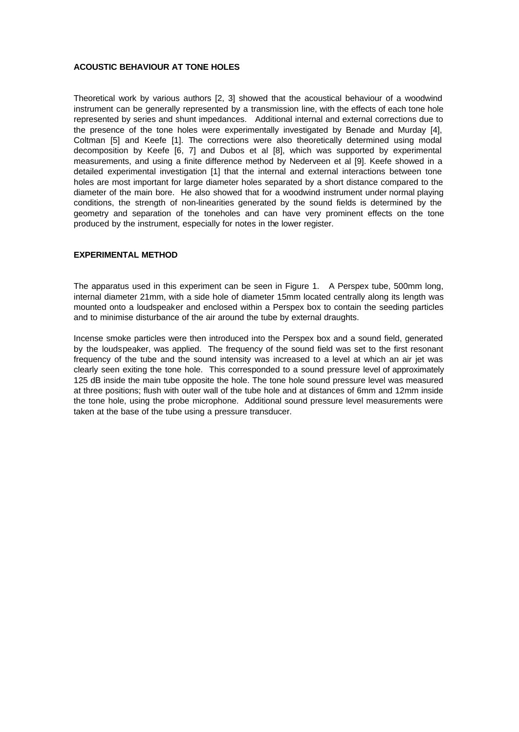## **ACOUSTIC BEHAVIOUR AT TONE HOLES**

Theoretical work by various authors [2, 3] showed that the acoustical behaviour of a woodwind instrument can be generally represented by a transmission line, with the effects of each tone hole represented by series and shunt impedances. Additional internal and external corrections due to the presence of the tone holes were experimentally investigated by Benade and Murday [4], Coltman [5] and Keefe [1]. The corrections were also theoretically determined using modal decomposition by Keefe [6, 7] and Dubos et al [8], which was supported by experimental measurements, and using a finite difference method by Nederveen et al [9]. Keefe showed in a detailed experimental investigation [1] that the internal and external interactions between tone holes are most important for large diameter holes separated by a short distance compared to the diameter of the main bore. He also showed that for a woodwind instrument under normal playing conditions, the strength of non-linearities generated by the sound fields is determined by the geometry and separation of the toneholes and can have very prominent effects on the tone produced by the instrument, especially for notes in the lower register.

## **EXPERIMENTAL METHOD**

The apparatus used in this experiment can be seen in Figure 1. A Perspex tube, 500mm long, internal diameter 21mm, with a side hole of diameter 15mm located centrally along its length was mounted onto a loudspeaker and enclosed within a Perspex box to contain the seeding particles and to minimise disturbance of the air around the tube by external draughts.

Incense smoke particles were then introduced into the Perspex box and a sound field, generated by the loudspeaker, was applied. The frequency of the sound field was set to the first resonant frequency of the tube and the sound intensity was increased to a level at which an air jet was clearly seen exiting the tone hole. This corresponded to a sound pressure level of approximately 125 dB inside the main tube opposite the hole. The tone hole sound pressure level was measured at three positions; flush with outer wall of the tube hole and at distances of 6mm and 12mm inside the tone hole, using the probe microphone. Additional sound pressure level measurements were taken at the base of the tube using a pressure transducer.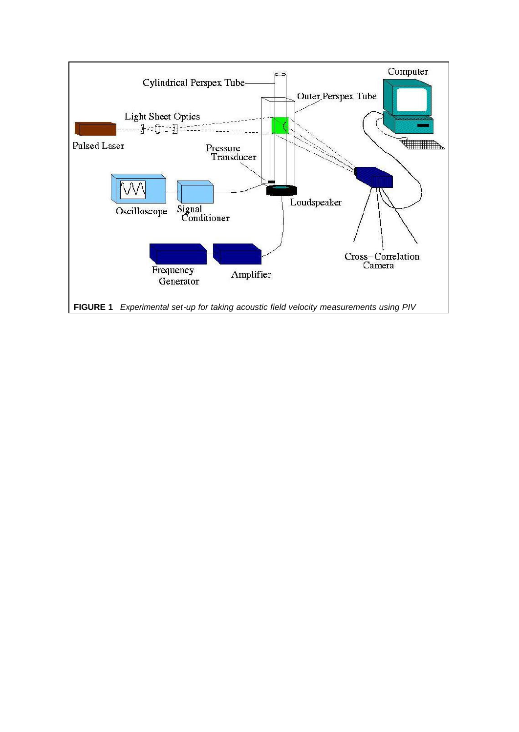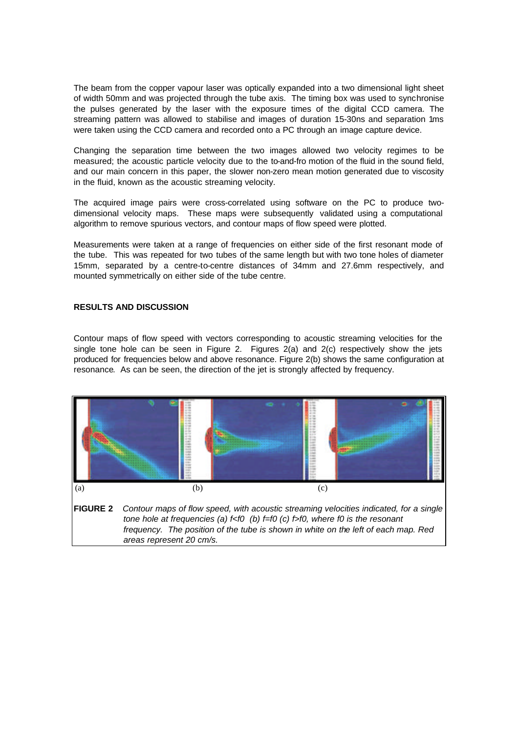The beam from the copper vapour laser was optically expanded into a two dimensional light sheet of width 50mm and was projected through the tube axis. The timing box was used to synchronise the pulses generated by the laser with the exposure times of the digital CCD camera. The streaming pattern was allowed to stabilise and images of duration 15-30ns and separation 1ms were taken using the CCD camera and recorded onto a PC through an image capture device.

Changing the separation time between the two images allowed two velocity regimes to be measured; the acoustic particle velocity due to the to-and-fro motion of the fluid in the sound field, and our main concern in this paper, the slower non-zero mean motion generated due to viscosity in the fluid, known as the acoustic streaming velocity.

The acquired image pairs were cross-correlated using software on the PC to produce twodimensional velocity maps. These maps were subsequently validated using a computational algorithm to remove spurious vectors, and contour maps of flow speed were plotted.

Measurements were taken at a range of frequencies on either side of the first resonant mode of the tube. This was repeated for two tubes of the same length but with two tone holes of diameter 15mm, separated by a centre-to-centre distances of 34mm and 27.6mm respectively, and mounted symmetrically on either side of the tube centre.

## **RESULTS AND DISCUSSION**

Contour maps of flow speed with vectors corresponding to acoustic streaming velocities for the single tone hole can be seen in Figure 2. Figures 2(a) and 2(c) respectively show the jets produced for frequencies below and above resonance. Figure 2(b) shows the same configuration at resonance. As can be seen, the direction of the jet is strongly affected by frequency.

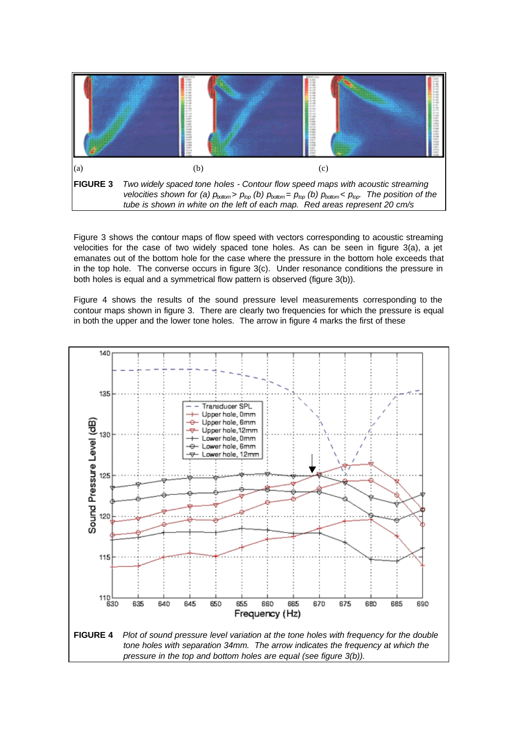

Figure 3 shows the contour maps of flow speed with vectors corresponding to acoustic streaming velocities for the case of two widely spaced tone holes. As can be seen in figure 3(a), a jet emanates out of the bottom hole for the case where the pressure in the bottom hole exceeds that in the top hole. The converse occurs in figure 3(c). Under resonance conditions the pressure in both holes is equal and a symmetrical flow pattern is observed (figure 3(b)).

Figure 4 shows the results of the sound pressure level measurements corresponding to the contour maps shown in figure 3. There are clearly two frequencies for which the pressure is equal in both the upper and the lower tone holes. The arrow in figure 4 marks the first of these